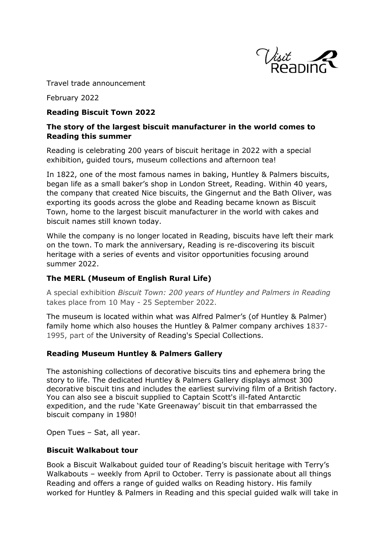

Travel trade announcement

February 2022

#### **Reading Biscuit Town 2022**

## **The story of the largest biscuit manufacturer in the world comes to Reading this summer**

Reading is celebrating 200 years of biscuit heritage in 2022 with a special exhibition, guided tours, museum collections and afternoon tea!

In 1822, one of the most famous names in baking, Huntley & Palmers biscuits, began life as a small baker's shop in London Street, Reading. Within 40 years, the company that created Nice biscuits, the Gingernut and the Bath Oliver, was exporting its goods across the globe and Reading became known as Biscuit Town, home to the largest biscuit manufacturer in the world with cakes and biscuit names still known today.

While the company is no longer located in Reading, biscuits have left their mark on the town. To mark the anniversary, Reading is re-discovering its biscuit heritage with a series of events and visitor opportunities focusing around summer 2022.

#### **The MERL (Museum of English Rural Life)**

A special exhibition *Biscuit Town: 200 years of Huntley and Palmers in Reading* takes place from 10 May - 25 September 2022.

The museum is located within what was Alfred Palmer's (of Huntley & Palmer) family home which also houses the Huntley & Palmer company archives 1837- 1995, part of the University of Reading's Special Collections.

#### **Reading Museum Huntley & Palmers Gallery**

The astonishing collections of decorative biscuits tins and ephemera bring the story to life. The dedicated Huntley & Palmers Gallery displays almost 300 decorative biscuit tins and includes the earliest surviving film of a British factory. You can also see a biscuit supplied to Captain Scott's ill-fated Antarctic expedition, and the rude 'Kate Greenaway' biscuit tin that embarrassed the biscuit company in 1980!

Open Tues – Sat, all year.

#### **Biscuit Walkabout tour**

Book a Biscuit Walkabout guided tour of Reading's biscuit heritage with Terry's Walkabouts – weekly from April to October. Terry is passionate about all things Reading and offers a range of guided walks on Reading history. His family worked for Huntley & Palmers in Reading and this special guided walk will take in